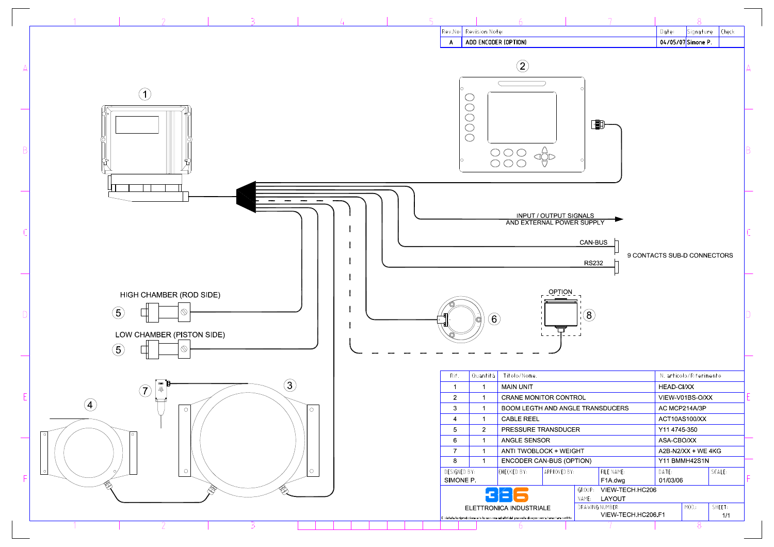